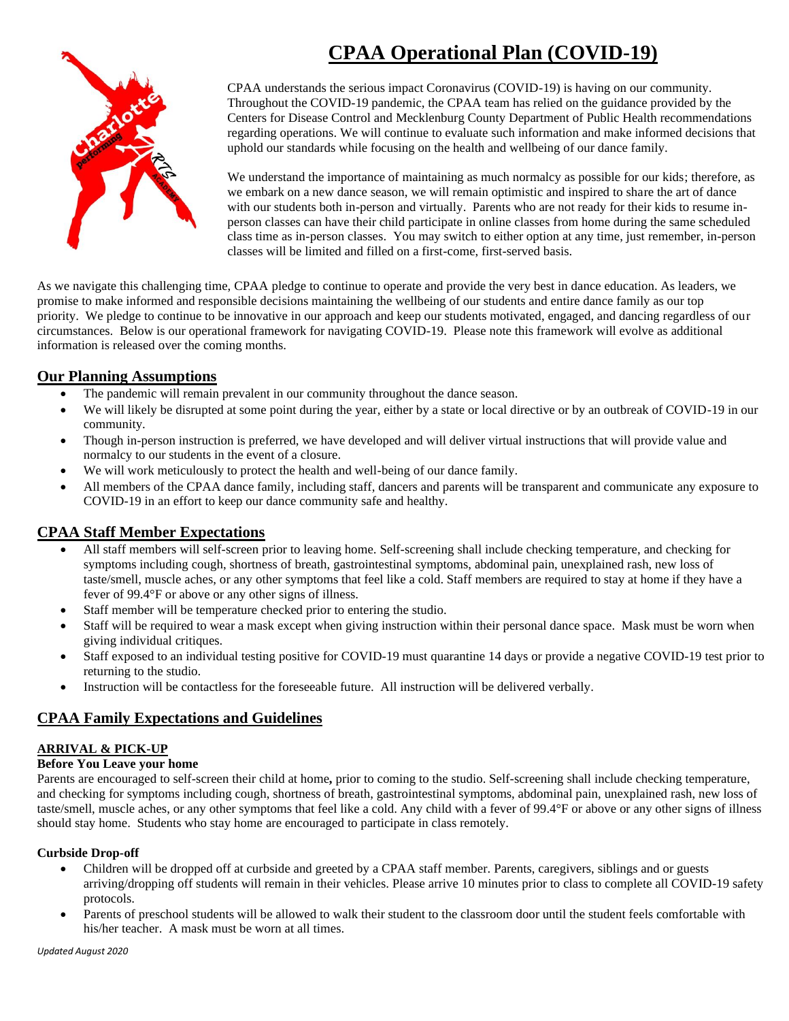# **CPAA Operational Plan (COVID-19)**



CPAA understands the serious impact Coronavirus (COVID-19) is having on our community. Throughout the COVID-19 pandemic, the CPAA team has relied on the guidance provided by the Centers for Disease Control and Mecklenburg County Department of Public Health recommendations regarding operations. We will continue to evaluate such information and make informed decisions that uphold our standards while focusing on the health and wellbeing of our dance family.

We understand the importance of maintaining as much normalcy as possible for our kids; therefore, as we embark on a new dance season, we will remain optimistic and inspired to share the art of dance with our students both in-person and virtually. Parents who are not ready for their kids to resume inperson classes can have their child participate in online classes from home during the same scheduled class time as in-person classes. You may switch to either option at any time, just remember, in-person classes will be limited and filled on a first-come, first-served basis.

As we navigate this challenging time, CPAA pledge to continue to operate and provide the very best in dance education. As leaders, we promise to make informed and responsible decisions maintaining the wellbeing of our students and entire dance family as our top priority. We pledge to continue to be innovative in our approach and keep our students motivated, engaged, and dancing regardless of our circumstances. Below is our operational framework for navigating COVID-19. Please note this framework will evolve as additional information is released over the coming months.

## **Our Planning Assumptions**

- The pandemic will remain prevalent in our community throughout the dance season.
- We will likely be disrupted at some point during the year, either by a state or local directive or by an outbreak of COVID-19 in our community.
- Though in-person instruction is preferred, we have developed and will deliver virtual instructions that will provide value and normalcy to our students in the event of a closure.
- We will work meticulously to protect the health and well-being of our dance family.
- All members of the CPAA dance family, including staff, dancers and parents will be transparent and communicate any exposure to COVID-19 in an effort to keep our dance community safe and healthy.

## **CPAA Staff Member Expectations**

- All staff members will self-screen prior to leaving home. Self-screening shall include checking temperature, and checking for symptoms including cough, shortness of breath, gastrointestinal symptoms, abdominal pain, unexplained rash, new loss of taste/smell, muscle aches, or any other symptoms that feel like a cold. Staff members are required to stay at home if they have a fever of 99.4°F or above or any other signs of illness.
- Staff member will be temperature checked prior to entering the studio.
- Staff will be required to wear a mask except when giving instruction within their personal dance space. Mask must be worn when giving individual critiques.
- Staff exposed to an individual testing positive for COVID-19 must quarantine 14 days or provide a negative COVID-19 test prior to returning to the studio.
- Instruction will be contactless for the foreseeable future. All instruction will be delivered verbally.

## **CPAA Family Expectations and Guidelines**

### **ARRIVAL & PICK-UP**

#### **Before You Leave your home**

Parents are encouraged to self-screen their child at home**,** prior to coming to the studio. Self-screening shall include checking temperature, and checking for symptoms including cough, shortness of breath, gastrointestinal symptoms, abdominal pain, unexplained rash, new loss of taste/smell, muscle aches, or any other symptoms that feel like a cold. Any child with a fever of 99.4°F or above or any other signs of illness should stay home. Students who stay home are encouraged to participate in class remotely.

#### **Curbside Drop-off**

- Children will be dropped off at curbside and greeted by a CPAA staff member. Parents, caregivers, siblings and or guests arriving/dropping off students will remain in their vehicles. Please arrive 10 minutes prior to class to complete all COVID-19 safety protocols.
- Parents of preschool students will be allowed to walk their student to the classroom door until the student feels comfortable with his/her teacher. A mask must be worn at all times.